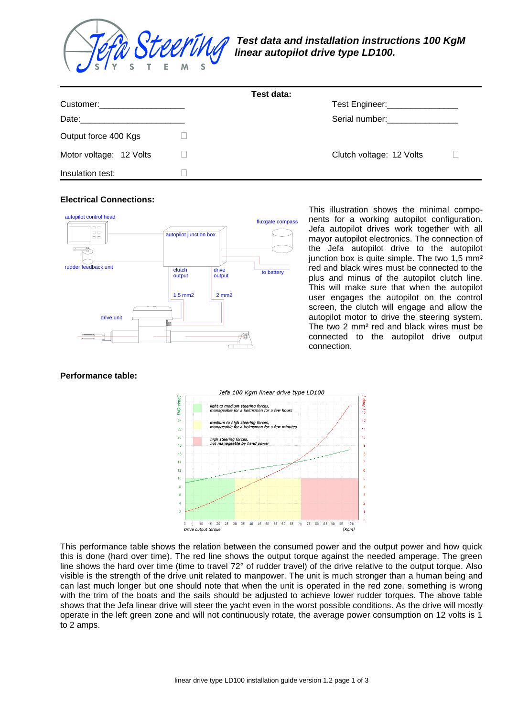

|                                              | Test data: |                                  |  |
|----------------------------------------------|------------|----------------------------------|--|
| Customer: 2000 2000 2010 2010 2020 2020 2021 |            | Test Engineer:__________________ |  |
|                                              |            | Serial number: Serial number:    |  |
| Output force 400 Kgs                         |            |                                  |  |
| Motor voltage: 12 Volts                      |            | Clutch voltage: 12 Volts         |  |
| Insulation test:                             |            |                                  |  |

## **Electrical Connections:**



This illustration shows the minimal components for a working autopilot configuration. Jefa autopilot drives work together with all mayor autopilot electronics. The connection of the Jefa autopilot drive to the autopilot junction box is quite simple. The two 1,5 mm<sup>2</sup> red and black wires must be connected to the plus and minus of the autopilot clutch line. This will make sure that when the autopilot user engages the autopilot on the control screen, the clutch will engage and allow the autopilot motor to drive the steering system. The two 2 mm² red and black wires must be connected to the autopilot drive output connection.

**Performance table:**



This performance table shows the relation between the consumed power and the output power and how quick this is done (hard over time). The red line shows the output torque against the needed amperage. The green line shows the hard over time (time to travel 72° of rudder travel) of the drive relative to the output torque. Also visible is the strength of the drive unit related to manpower. The unit is much stronger than a human being and can last much longer but one should note that when the unit is operated in the red zone, something is wrong with the trim of the boats and the sails should be adjusted to achieve lower rudder torques. The above table shows that the Jefa linear drive will steer the yacht even in the worst possible conditions. As the drive will mostly operate in the left green zone and will not continuously rotate, the average power consumption on 12 volts is 1 to 2 amps.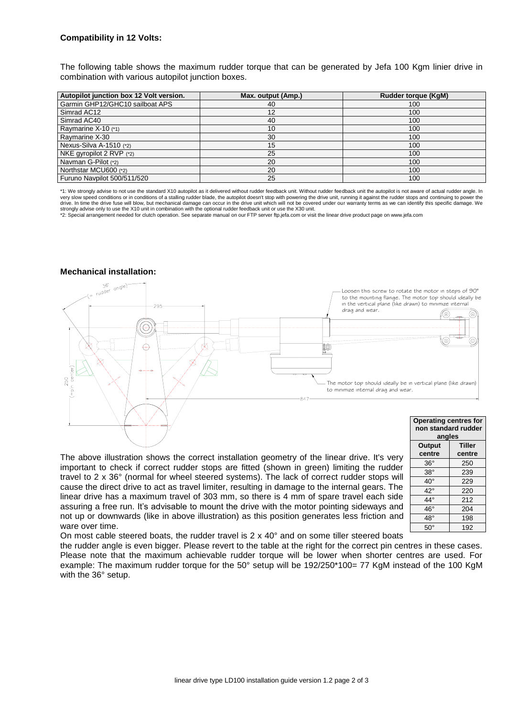# **Compatibility in 12 Volts:**

The following table shows the maximum rudder torque that can be generated by Jefa 100 Kgm linier drive in combination with various autopilot junction boxes.

| Autopilot junction box 12 Volt version. | Max. output (Amp.) | <b>Rudder torque (KgM)</b> |
|-----------------------------------------|--------------------|----------------------------|
| Garmin GHP12/GHC10 sailboat APS         | 40                 | 100                        |
| Simrad AC12                             | 12                 | 100                        |
| Simrad AC40                             | 40                 | 100                        |
| Raymarine X-10 (*1)                     | 10                 | 100                        |
| Raymarine X-30                          | 30                 | 100                        |
| Nexus-Silva A-1510 (*2)                 | 15                 | 100                        |
| NKE gyropilot 2 RVP $(2)$               | 25                 | 100                        |
| Navman G-Pilot (*2)                     | 20                 | 100                        |
| Northstar MCU600 (*2)                   | 20                 | 100                        |
| Furuno Navpilot 500/511/520             | 25                 | 100                        |

\*1: We strongly advise to not use the standard X10 autopilot as it delivered without rudder feedback unit. Without rudder feedback unit the autopilot is not aware of actual rudder angle. In very slow speed conditions or in conditions of a stalling rudder blade, the autopilot doesn't stop with powering the drive unit, running it against the rudder stops and continuing to power the drive. In time the drive fuse will blow, but mechanical damage can occur in the drive unit which will not be covered under our warranty terms as we can identify this specific damage. We strongly advise only to use the X10 unit in combination with the optional rudder feedback unit or use the X30 unit.

\*2: Special arrangement needed for clutch operation. See separate manual on our FTP server ftp.jefa.com or visit the linear drive product page on www.jefa.com

#### **Mechanical installation:**



The above illustration shows the correct installation geometry of the linear drive. It's very important to check if correct rudder stops are fitted (shown in green) limiting the rudder travel to 2 x 36° (normal for wheel steered systems). The lack of correct rudder stops will cause the direct drive to act as travel limiter, resulting in damage to the internal gears. The linear drive has a maximum travel of 303 mm, so there is 4 mm of spare travel each side assuring a free run. It's advisable to mount the drive with the motor pointing sideways and not up or downwards (like in above illustration) as this position generates less friction and ware over time.

| <b>Operating centres for</b><br>non standard rudder<br>angles |                         |  |  |  |
|---------------------------------------------------------------|-------------------------|--|--|--|
| Output<br>centre                                              | <b>Tiller</b><br>centre |  |  |  |
| $36^\circ$                                                    | 250                     |  |  |  |
| $38^\circ$                                                    | 239                     |  |  |  |
| $40^{\circ}$                                                  | 229                     |  |  |  |
| $42^{\circ}$                                                  | 220                     |  |  |  |
| 44°                                                           | 212                     |  |  |  |
| 46°                                                           | 204                     |  |  |  |
| 48°                                                           | 198                     |  |  |  |
| $50^\circ$                                                    | 192                     |  |  |  |

On most cable steered boats, the rudder travel is  $2 \times 40^\circ$  and on some tiller steered boats

the rudder angle is even bigger. Please revert to the table at the right for the correct pin centres in these cases. Please note that the maximum achievable rudder torque will be lower when shorter centres are used. For example: The maximum rudder torque for the 50° setup will be 192/250\*100= 77 KgM instead of the 100 KgM with the 36° setup.